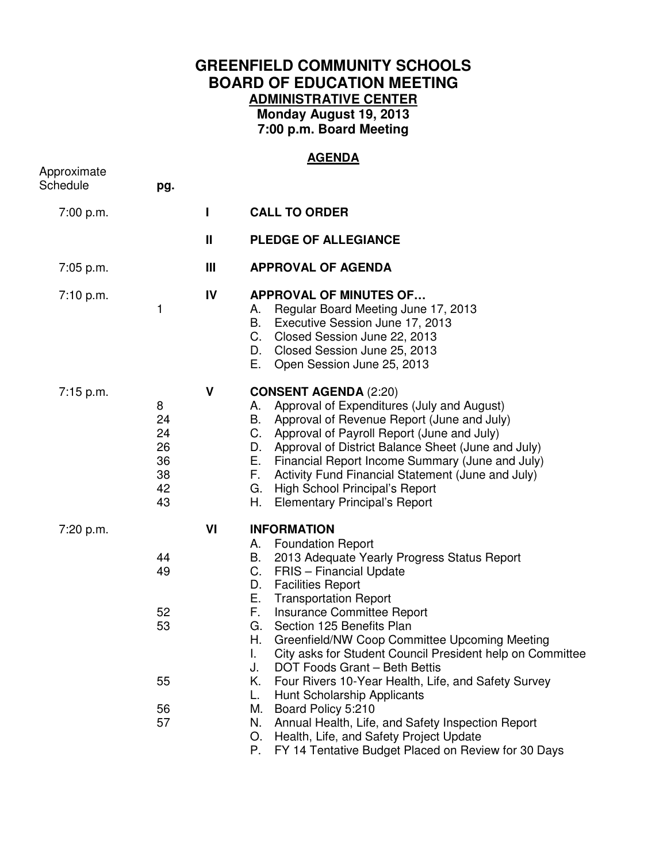## **GREENFIELD COMMUNITY SCHOOLS BOARD OF EDUCATION MEETING ADMINISTRATIVE CENTER Monday August 19, 2013 7:00 p.m. Board Meeting**

## **AGENDA**

| Approximate<br>Schedule | pg.                                         |                |                                                                                                                                                                                                                                                                                                                                                                                                                                                                                                                                                                                                                                                                                                                                                                          |
|-------------------------|---------------------------------------------|----------------|--------------------------------------------------------------------------------------------------------------------------------------------------------------------------------------------------------------------------------------------------------------------------------------------------------------------------------------------------------------------------------------------------------------------------------------------------------------------------------------------------------------------------------------------------------------------------------------------------------------------------------------------------------------------------------------------------------------------------------------------------------------------------|
| 7:00 p.m.               |                                             | L              | <b>CALL TO ORDER</b>                                                                                                                                                                                                                                                                                                                                                                                                                                                                                                                                                                                                                                                                                                                                                     |
|                         |                                             | $\mathbf{I}$   | <b>PLEDGE OF ALLEGIANCE</b>                                                                                                                                                                                                                                                                                                                                                                                                                                                                                                                                                                                                                                                                                                                                              |
| 7:05 p.m.               |                                             | $\mathbf{III}$ | <b>APPROVAL OF AGENDA</b>                                                                                                                                                                                                                                                                                                                                                                                                                                                                                                                                                                                                                                                                                                                                                |
| 7:10 p.m.               | 1                                           | IV             | <b>APPROVAL OF MINUTES OF</b><br>Regular Board Meeting June 17, 2013<br>А.<br>В.<br>Executive Session June 17, 2013<br>C.<br>Closed Session June 22, 2013<br>Closed Session June 25, 2013<br>D.<br>Е.<br>Open Session June 25, 2013                                                                                                                                                                                                                                                                                                                                                                                                                                                                                                                                      |
| 7:15 p.m.               | 8<br>24<br>24<br>26<br>36<br>38<br>42<br>43 | $\mathbf v$    | <b>CONSENT AGENDA (2:20)</b><br>Approval of Expenditures (July and August)<br>А.<br>Approval of Revenue Report (June and July)<br>В.<br>Approval of Payroll Report (June and July)<br>C.<br>Approval of District Balance Sheet (June and July)<br>D.<br>Е.<br>Financial Report Income Summary (June and July)<br>F.<br>Activity Fund Financial Statement (June and July)<br>High School Principal's Report<br>G.<br>Н.<br><b>Elementary Principal's Report</b>                                                                                                                                                                                                                                                                                                           |
| 7:20 p.m.               | 44<br>49<br>52<br>53<br>55<br>56<br>57      | VI             | <b>INFORMATION</b><br><b>Foundation Report</b><br>А.<br>2013 Adequate Yearly Progress Status Report<br>В.<br>C.<br><b>FRIS</b> - Financial Update<br><b>Facilities Report</b><br>D.<br>Е.<br><b>Transportation Report</b><br>F.<br>Insurance Committee Report<br>Section 125 Benefits Plan<br>G.<br>Н.<br>Greenfield/NW Coop Committee Upcoming Meeting<br>City asks for Student Council President help on Committee<br>ı.<br>DOT Foods Grant - Beth Bettis<br>J.<br>Four Rivers 10-Year Health, Life, and Safety Survey<br>Κ.<br>Hunt Scholarship Applicants<br>L.<br>Board Policy 5:210<br>М.<br>N.<br>Annual Health, Life, and Safety Inspection Report<br>Health, Life, and Safety Project Update<br>O.<br>FY 14 Tentative Budget Placed on Review for 30 Days<br>Р. |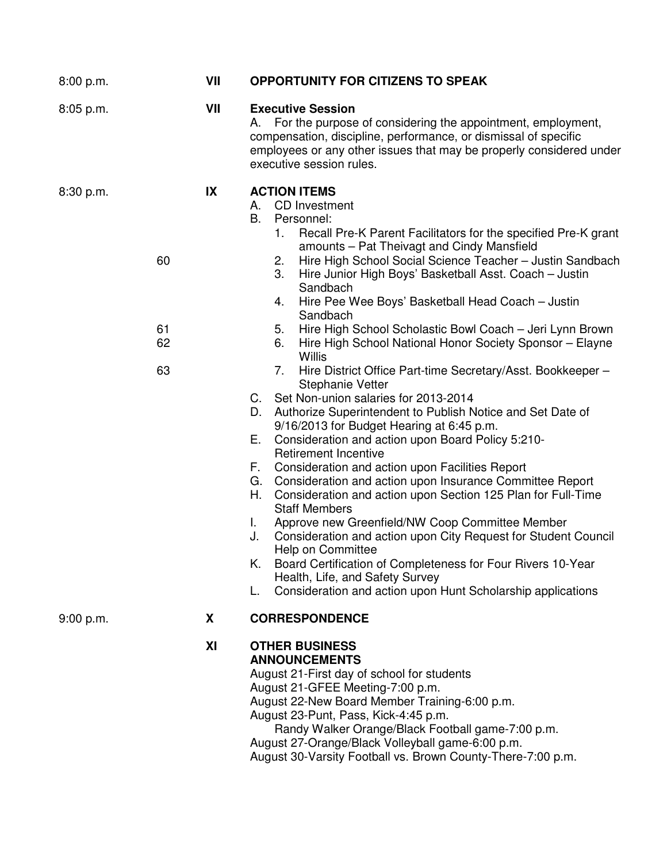| 8:00 p.m. | VII                        |                                                          | <b>OPPORTUNITY FOR CITIZENS TO SPEAK</b>                                                                                                                                                                                                                                                                                                                                                                                                                                                                                                                                                                                                                                                                                                                                                                                                                                                                                                                                                                                                                                                                                                                                                                                                                                                                                                                                                                           |
|-----------|----------------------------|----------------------------------------------------------|--------------------------------------------------------------------------------------------------------------------------------------------------------------------------------------------------------------------------------------------------------------------------------------------------------------------------------------------------------------------------------------------------------------------------------------------------------------------------------------------------------------------------------------------------------------------------------------------------------------------------------------------------------------------------------------------------------------------------------------------------------------------------------------------------------------------------------------------------------------------------------------------------------------------------------------------------------------------------------------------------------------------------------------------------------------------------------------------------------------------------------------------------------------------------------------------------------------------------------------------------------------------------------------------------------------------------------------------------------------------------------------------------------------------|
| 8:05 p.m. | VII                        | А.                                                       | <b>Executive Session</b><br>For the purpose of considering the appointment, employment,<br>compensation, discipline, performance, or dismissal of specific<br>employees or any other issues that may be properly considered under<br>executive session rules.                                                                                                                                                                                                                                                                                                                                                                                                                                                                                                                                                                                                                                                                                                                                                                                                                                                                                                                                                                                                                                                                                                                                                      |
| 8:30 p.m. | IX<br>60<br>61<br>62<br>63 | B.<br>D.<br>Е.<br>F.<br>G.<br>Н.<br>L.<br>J.<br>K.<br>L. | <b>ACTION ITEMS</b><br>A. CD Investment<br>Personnel:<br>Recall Pre-K Parent Facilitators for the specified Pre-K grant<br>1.<br>amounts - Pat Theivagt and Cindy Mansfield<br>Hire High School Social Science Teacher - Justin Sandbach<br>2.<br>Hire Junior High Boys' Basketball Asst. Coach - Justin<br>3.<br>Sandbach<br>Hire Pee Wee Boys' Basketball Head Coach - Justin<br>4.<br>Sandbach<br>Hire High School Scholastic Bowl Coach - Jeri Lynn Brown<br>5.<br>Hire High School National Honor Society Sponsor - Elayne<br>6.<br><b>Willis</b><br>Hire District Office Part-time Secretary/Asst. Bookkeeper -<br>7.<br><b>Stephanie Vetter</b><br>C. Set Non-union salaries for 2013-2014<br>Authorize Superintendent to Publish Notice and Set Date of<br>9/16/2013 for Budget Hearing at 6:45 p.m.<br>Consideration and action upon Board Policy 5:210-<br><b>Retirement Incentive</b><br>Consideration and action upon Facilities Report<br>Consideration and action upon Insurance Committee Report<br>Consideration and action upon Section 125 Plan for Full-Time<br><b>Staff Members</b><br>Approve new Greenfield/NW Coop Committee Member<br>Consideration and action upon City Request for Student Council<br>Help on Committee<br>Board Certification of Completeness for Four Rivers 10-Year<br>Health, Life, and Safety Survey<br>Consideration and action upon Hunt Scholarship applications |
| 9:00 p.m. | X                          |                                                          | <b>CORRESPONDENCE</b>                                                                                                                                                                                                                                                                                                                                                                                                                                                                                                                                                                                                                                                                                                                                                                                                                                                                                                                                                                                                                                                                                                                                                                                                                                                                                                                                                                                              |
|           | XI                         |                                                          | <b>OTHER BUSINESS</b><br><b>ANNOUNCEMENTS</b><br>August 21-First day of school for students<br>August 21-GFEE Meeting-7:00 p.m.<br>August 22-New Board Member Training-6:00 p.m.<br>August 23-Punt, Pass, Kick-4:45 p.m.<br>Randy Walker Orange/Black Football game-7:00 p.m.<br>August 27-Orange/Black Volleyball game-6:00 p.m.                                                                                                                                                                                                                                                                                                                                                                                                                                                                                                                                                                                                                                                                                                                                                                                                                                                                                                                                                                                                                                                                                  |

August 30-Varsity Football vs. Brown County-There-7:00 p.m.